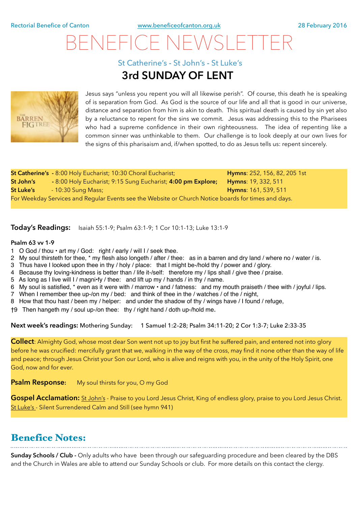# BENEFICE NEWSLETTER

St Catherine's **-** St John's **-** St Luke's

## **3rd SUNDAY OF LENT**



Jesus says "unless you repent you will all likewise perish". Of course, this death he is speaking of is separation from God. As God is the source of our life and all that is good in our universe, distance and separation from him is akin to death. This spiritual death is caused by sin yet also by a reluctance to repent for the sins we commit. Jesus was addressing this to the Pharisees who had a supreme confidence in their own righteousness. The idea of repenting like a common sinner was unthinkable to them. Our challenge is to look deeply at our own lives for the signs of this pharisaism and, if/when spotted, to do as Jesus tells us: repent sincerely.

|                                                                                                     | St Catherine's - 8:00 Holy Eucharist; 10:30 Choral Eucharist; | <b>Hymns:</b> 252, 156, 82, 205 1st |
|-----------------------------------------------------------------------------------------------------|---------------------------------------------------------------|-------------------------------------|
| St John's                                                                                           | - 8:00 Holy Eucharist; 9:15 Sung Eucharist; 4:00 pm Explore;  | <b>Hymns: 19, 332, 511</b>          |
| St Luke's                                                                                           | - 10:30 Sung Mass;                                            | <b>Hymns: 161, 539, 511</b>         |
| For Weekday Services and Regular Events see the Website or Church Notice boards for times and days. |                                                               |                                     |

**Today's Readings:** Isaiah 55:1-9; Psalm 63:1-9; 1 Cor 10:1-13; Luke 13:1-9

#### **Psalm 63 vv 1-9**

- 1 O God / thou art my / God: right / early / will I / seek thee.
- 2 My soul thirsteth for thee, \* my flesh also longeth / after / thee: as in a barren and dry land / where no / water / is.
- 3 Thus have I looked upon thee in thy / holy / place: that I might be-/hold thy / power and / glory.
- 4 Because thy loving-kindness is better than / life it-/self: therefore my / lips shall / give thee / praise.
- 5 As long as I live will I / magni•fy / thee: and lift up my / hands / in thy / name.
- 6 My soul is satisfied, \* even as it were with / marrow and / fatness: and my mouth praiseth / thee with / joyful / lips.
- 7 When I remember thee up-/on my / bed: and think of thee in the / watches / of the / night,
- 8 How that thou hast / been my / helper: and under the shadow of thy / wings have / I found / refuge,
- †9 Then hangeth my / soul up-/on thee: thy / right hand / doth up-/hold me.

**Next week's readings:** Mothering Sunday: 1 Samuel 1:2–28; Psalm 34:11-20; 2 Cor 1:3-7; Luke 2:33-35

**Collect**: Almighty God, whose most dear Son went not up to joy but first he suffered pain, and entered not into glory before he was crucified: mercifully grant that we, walking in the way of the cross, may find it none other than the way of life and peace; through Jesus Christ your Son our Lord, who is alive and reigns with you, in the unity of the Holy Spirit, one God, now and for ever.

**Psalm Response:** My soul thirsts for you, O my God

Gospel Acclamation: St John's - Praise to you Lord Jesus Christ, King of endless glory, praise to you Lord Jesus Christ. St Luke's - Silent Surrendered Calm and Still (see hymn 941)

### Benefice Notes:

**Sunday Schools / Club -** Only adults who have been through our safeguarding procedure and been cleared by the DBS and the Church in Wales are able to attend our Sunday Schools or club. For more details on this contact the clergy.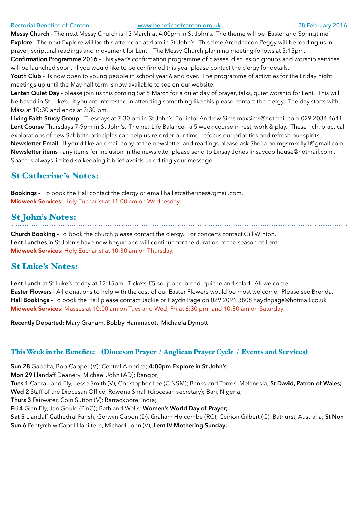#### Rectorial Benefice of Canton [www.beneficeofcanton.org.uk](http://www.beneficeofcanton.org.uk) 28 February 2016

**Messy Church** - The next Messy Church is 13 March at 4:00pm in St John's. The theme will be 'Easter and Springtime'. **Explore** - The next Explore will be this afternoon at 4pm in St John's. This time Archdeacon Peggy will be leading us in prayer, scriptural readings and movement for Lent. The Messy Church planning meeting follows at 5:15pm.

**Confirmation Programme 2016** - This year's confirmation programme of classes, discussion groups and worship services will be launched soon. If you would like to be confirmed this year please contact the clergy for details.

**Youth Club** - Is now open to young people in school year 6 and over. The programme of activities for the Friday night meetings up until the May half term is now available to see on our website.

**Lenten Quiet Day -** please join us this coming Sat 5 March for a quiet day of prayer, talks, quiet worship for Lent. This will be based in St Luke's. If you are interested in attending something like this please contact the clergy. The day starts with Mass at 10:30 and ends at 3:30 pm.

**Living Faith Study Group** – Tuesdays at 7:30 pm in St John's. For info: Andrew Sims [maxsims@hotmail.com](mailto:maxsims@hotmail.com) 029 2034 4641 **Lent Course** Thursdays 7-9pm in St John's. Theme: Life Balance- a 5 week course in rest, work & play. These rich, practical explorations of new Sabbath principles can help us re-order our time, refocus our priorities and refresh our spirits.

**Newsletter Email** - If you'd like an email copy of the newsletter and readings please ask Sheila on [mgsmkelly1@gmail.com](mailto:mgsmkelly1@gmail.com)  **Newsletter items** - any items for inclusion in the newsletter please send to Linsay Jones [linsaycoolhouse@hotmail.com](mailto:linsaycoolhouse@hotmail.com) . Space is always limited so keeping it brief avoids us editing your message.

#### St Catherine's Notes:

**Bookings -** To book the Hall contact the clergy or email [hall.stcatherines@gmail.com.](mailto:hall.stcatherines@gmail.com) **Midweek Services:** Holy Eucharist at 11:00 am on Wednesday.

### St John's Notes:

**Church Booking -** To book the church please contact the clergy. For concerts contact Gill Winton. **Lent Lunches** in St John's have now begun and will continue for the duration of the season of Lent. **Midweek Services:** Holy Eucharist at 10:30 am on Thursday.

### St Luke's Notes:

**Lent Lunch** at St Luke's today at 12:15pm. Tickets £5-soup and bread, quiche and salad. All welcome. **Easter Flowers** - All donations to help with the cost of our Easter Flowers would be most welcome. Please see Brenda. **Hall Bookings -** To book the Hall please contact Jackie or Haydn Page on 029 2091 3808 [haydnpage@hotmail.co.uk](mailto:haydnpage@hotmail.co.uk) **Midweek Services:** Masses at 10:00 am on Tues and Wed; Fri at 6:30 pm; and 10:30 am on Saturday.

**Recently Departed:** Mary Graham, Bobby Hammacott, Michaela Dymott

#### This Week in the Benefice: (Diocesan Prayer / Anglican Prayer Cycle / Events and Services)

**Sun 28** Gabalfa, Bob Capper (V); Central America; **4:00pm Explore in St John's** 

**Mon 29** Llandaff Deanery, Michael John (AD); Bangor;

**Tues 1** Caerau and Ely, Jesse Smith (V); Christopher Lee (C NSM); Banks and Torres, Melanesia; **St David, Patron of Wales; Wed 2** Staff of the Diocesan Office; Rowena Small (diocesan secretary); Bari, Nigeria;

**Thurs 3** Fairwater, Coin Sutton (V); Barrackpore, India;

**Fri 4** Glan Ely, Jan Gould (PinC); Bath and Wells; **Women's World Day of Prayer;** 

**Sat 5** Llandaff Cathedral Parish, Gerwyn Capon (D), Graham Holcombe (RC); Ceirion Gilbert (C); Bathurst, Australia; **St Non Sun 6** Pentyrch w Capel Llaniltern, Michael John (V); **Lent IV Mothering Sunday;**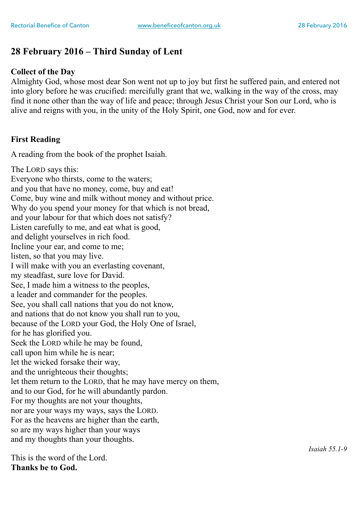## **28 February 2016 – Third Sunday of Lent**

#### **Collect of the Day**

Almighty God, whose most dear Son went not up to joy but first he suffered pain, and entered not into glory before he was crucified: mercifully grant that we, walking in the way of the cross, may find it none other than the way of life and peace; through Jesus Christ your Son our Lord, who is alive and reigns with you, in the unity of the Holy Spirit, one God, now and for ever.

#### **First Reading**

A reading from the book of the prophet Isaiah.

The LORD says this: Everyone who thirsts, come to the waters; and you that have no money, come, buy and eat! Come, buy wine and milk without money and without price. Why do you spend your money for that which is not bread, and your labour for that which does not satisfy? Listen carefully to me, and eat what is good, and delight yourselves in rich food. Incline your ear, and come to me; listen, so that you may live. I will make with you an everlasting covenant, my steadfast, sure love for David. See, I made him a witness to the peoples, a leader and commander for the peoples. See, you shall call nations that you do not know, and nations that do not know you shall run to you, because of the LORD your God, the Holy One of Israel, for he has glorified you. Seek the LORD while he may be found, call upon him while he is near; let the wicked forsake their way, and the unrighteous their thoughts; let them return to the LORD, that he may have mercy on them, and to our God, for he will abundantly pardon. For my thoughts are not your thoughts, nor are your ways my ways, says the LORD. For as the heavens are higher than the earth, so are my ways higher than your ways and my thoughts than your thoughts.

This is the word of the Lord. **Thanks be to God.**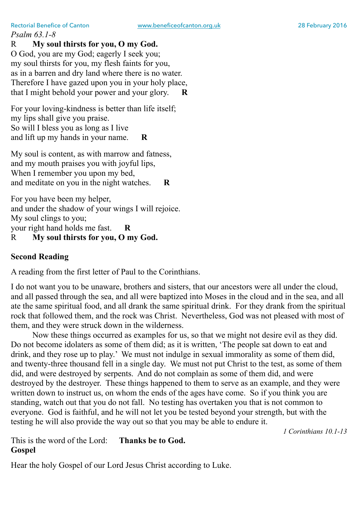*Psalm 63.1-8* 

R **My soul thirsts for you, O my God.** 

O God, you are my God; eagerly I seek you; my soul thirsts for you, my flesh faints for you, as in a barren and dry land where there is no water. Therefore I have gazed upon you in your holy place, that I might behold your power and your glory. **R** 

For your loving-kindness is better than life itself; my lips shall give you praise. So will I bless you as long as I live and lift up my hands in your name. **R** 

My soul is content, as with marrow and fatness, and my mouth praises you with joyful lips, When I remember you upon my bed, and meditate on you in the night watches. **R** 

For you have been my helper, and under the shadow of your wings I will rejoice. My soul clings to you; your right hand holds me fast. **R**  R **My soul thirsts for you, O my God.** 

### **Second Reading**

A reading from the first letter of Paul to the Corinthians.

I do not want you to be unaware, brothers and sisters, that our ancestors were all under the cloud, and all passed through the sea, and all were baptized into Moses in the cloud and in the sea, and all ate the same spiritual food, and all drank the same spiritual drink. For they drank from the spiritual rock that followed them, and the rock was Christ. Nevertheless, God was not pleased with most of them, and they were struck down in the wilderness.

Now these things occurred as examples for us, so that we might not desire evil as they did. Do not become idolaters as some of them did; as it is written, 'The people sat down to eat and drink, and they rose up to play.' We must not indulge in sexual immorality as some of them did, and twenty-three thousand fell in a single day. We must not put Christ to the test, as some of them did, and were destroyed by serpents. And do not complain as some of them did, and were destroyed by the destroyer. These things happened to them to serve as an example, and they were written down to instruct us, on whom the ends of the ages have come. So if you think you are standing, watch out that you do not fall. No testing has overtaken you that is not common to everyone. God is faithful, and he will not let you be tested beyond your strength, but with the testing he will also provide the way out so that you may be able to endure it.

*1 Corinthians 10.1-13* 

This is the word of the Lord: **Thanks be to God. Gospel** 

Hear the holy Gospel of our Lord Jesus Christ according to Luke.